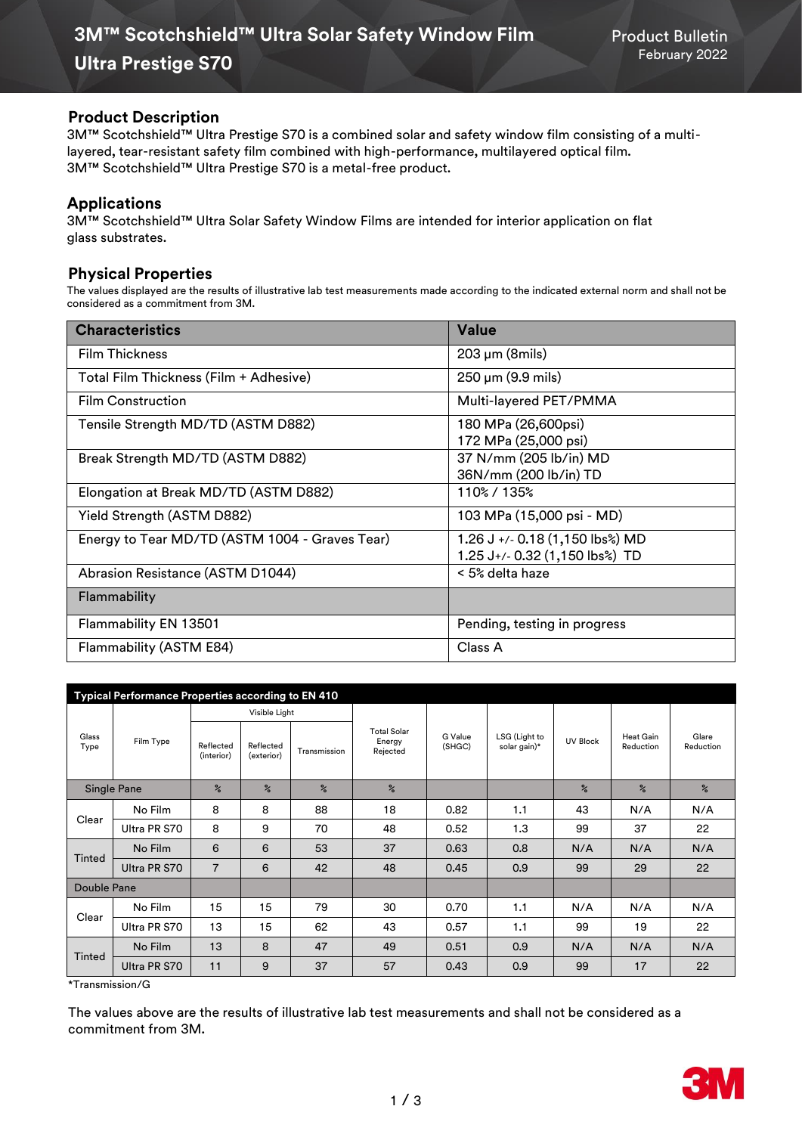#### **Product Description**

3M™ Scotchshield™ Ultra Prestige S70 is a combined solar and safety window film consisting of a multilayered, tear-resistant safety film combined with high-performance, multilayered optical film. 3M™ Scotchshield™ Ultra Prestige S70 is a metal-free product.

## **Applications**

3M™ Scotchshield™ Ultra Solar Safety Window Films are intended for interior application on flat glass substrates.

### **Physical Properties**

The values displayed are the results of illustrative lab test measurements made according to the indicated external norm and shall not be considered as a commitment from 3M.

| <b>Characteristics</b>                         | <b>Value</b>                                                      |
|------------------------------------------------|-------------------------------------------------------------------|
| <b>Film Thickness</b>                          | $203 \mu m$ (8mils)                                               |
| Total Film Thickness (Film + Adhesive)         | $250 \,\mu m$ (9.9 mils)                                          |
| <b>Film Construction</b>                       | Multi-layered PET/PMMA                                            |
| Tensile Strength MD/TD (ASTM D882)             | 180 MPa (26,600psi)<br>172 MPa (25,000 psi)                       |
| Break Strength MD/TD (ASTM D882)               | 37 N/mm (205 lb/in) MD<br>36N/mm (200 lb/in) TD                   |
| Elongation at Break MD/TD (ASTM D882)          | 110% / 135%                                                       |
| Yield Strength (ASTM D882)                     | 103 MPa (15,000 psi - MD)                                         |
| Energy to Tear MD/TD (ASTM 1004 - Graves Tear) | 1.26 J +/- 0.18 (1,150 lbs%) MD<br>1.25 J+/- 0.32 (1,150 lbs%) TD |
| Abrasion Resistance (ASTM D1044)               | < 5% delta haze                                                   |
| Flammability                                   |                                                                   |
| Flammability EN 13501                          | Pending, testing in progress                                      |
| Flammability (ASTM E84)                        | Class A                                                           |

| Typical Performance Properties according to EN 410 |              |                         |                         |               |                                          |                   |                               |                 |                               |                    |
|----------------------------------------------------|--------------|-------------------------|-------------------------|---------------|------------------------------------------|-------------------|-------------------------------|-----------------|-------------------------------|--------------------|
| Glass<br>Type                                      | Film Type    | Visible Light           |                         |               |                                          |                   |                               |                 |                               |                    |
|                                                    |              | Reflected<br>(interior) | Reflected<br>(exterior) | Transmission  | <b>Total Solar</b><br>Energy<br>Rejected | G Value<br>(SHGC) | LSG (Light to<br>solar gain)* | <b>UV Block</b> | <b>Heat Gain</b><br>Reduction | Glare<br>Reduction |
| Single Pane                                        |              | $\frac{9}{6}$           | $\frac{9}{6}$           | $\frac{9}{6}$ | $\frac{6}{2}$                            |                   |                               | $\frac{6}{2}$   | $\%$                          | $\frac{6}{6}$      |
| Clear                                              | No Film      | 8                       | 8                       | 88            | 18                                       | 0.82              | 1.1                           | 43              | N/A                           | N/A                |
|                                                    | Ultra PR S70 | 8                       | 9                       | 70            | 48                                       | 0.52              | 1.3                           | 99              | 37                            | 22                 |
| <b>Tinted</b>                                      | No Film      | 6                       | 6                       | 53            | 37                                       | 0.63              | 0.8                           | N/A             | N/A                           | N/A                |
|                                                    | Ultra PR S70 | $\overline{7}$          | 6                       | 42            | 48                                       | 0.45              | 0.9                           | 99              | 29                            | 22                 |
| Double Pane                                        |              |                         |                         |               |                                          |                   |                               |                 |                               |                    |
| Clear                                              | No Film      | 15                      | 15                      | 79            | 30                                       | 0.70              | 1.1                           | N/A             | N/A                           | N/A                |
|                                                    | Ultra PR S70 | 13                      | 15                      | 62            | 43                                       | 0.57              | 1.1                           | 99              | 19                            | 22                 |
| Tinted                                             | No Film      | 13                      | 8                       | 47            | 49                                       | 0.51              | 0.9                           | N/A             | N/A                           | N/A                |
|                                                    | Ultra PR S70 | 11                      | 9                       | 37            | 57                                       | 0.43              | 0.9                           | 99              | 17                            | 22                 |

\*Transmission/G

The values above are the results of illustrative lab test measurements and shall not be considered as a commitment from 3M.

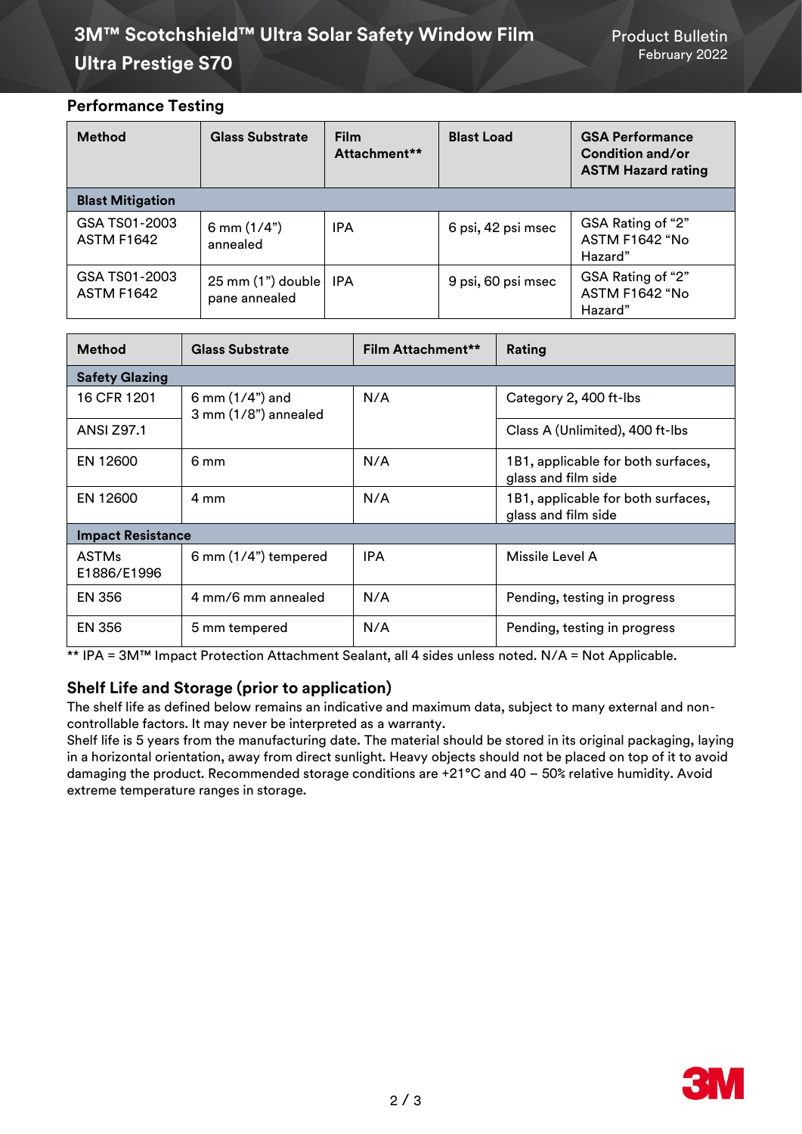# **3M™ Scotchshield™ Ultra Solar Safety Window Film Product Bulletin Ultra Prestige S70** February 2022

# **Performance Testing**

| <b>Method</b>                      | <b>Glass Substrate</b>                       | <b>Film</b><br>Attachment** | <b>Blast Load</b>  | <b>GSA Performance</b><br>Condition and/or<br><b>ASTM Hazard rating</b> |
|------------------------------------|----------------------------------------------|-----------------------------|--------------------|-------------------------------------------------------------------------|
| <b>Blast Mitigation</b>            |                                              |                             |                    |                                                                         |
| GSA TS01-2003<br><b>ASTM F1642</b> | 6 mm $(1/4")$<br>annealed                    | <b>IPA</b>                  | 6 psi, 42 psi msec | GSA Rating of "2"<br><b>ASTM F1642 "No</b><br>Hazard"                   |
| GSA TS01-2003<br><b>ASTM F1642</b> | $25 \text{ mm}$ (1") double<br>pane annealed | IPA                         | 9 psi, 60 psi msec | GSA Rating of "2"<br>ASTM F1642 "No<br>Hazard"                          |

| <b>Method</b>               | <b>Glass Substrate</b>                   | Film Attachment** | Rating                                                    |  |  |
|-----------------------------|------------------------------------------|-------------------|-----------------------------------------------------------|--|--|
| <b>Safety Glazing</b>       |                                          |                   |                                                           |  |  |
| 16 CFR 1201                 | 6 mm $(1/4)$ and<br>3 mm (1/8") annealed | N/A               | Category 2, 400 ft-lbs                                    |  |  |
| <b>ANSI Z97.1</b>           |                                          |                   | Class A (Unlimited), 400 ft-lbs                           |  |  |
| EN 12600                    | 6 mm                                     | N/A               | 1B1, applicable for both surfaces,<br>glass and film side |  |  |
| EN 12600                    | 4 mm                                     | N/A               | 1B1, applicable for both surfaces,<br>glass and film side |  |  |
| <b>Impact Resistance</b>    |                                          |                   |                                                           |  |  |
| <b>ASTMs</b><br>E1886/E1996 | 6 mm (1/4") tempered                     | <b>IPA</b>        | Missile Level A                                           |  |  |
| EN 356                      | 4 mm/6 mm annealed                       | N/A               | Pending, testing in progress                              |  |  |
| <b>EN 356</b>               | 5 mm tempered                            | N/A               | Pending, testing in progress                              |  |  |

\*\* IPA = 3M™ Impact Protection Attachment Sealant, all 4 sides unless noted. N/A = Not Applicable.

# **Shelf Life and Storage (prior to application)**

The shelf life as defined below remains an indicative and maximum data, subject to many external and noncontrollable factors. It may never be interpreted as a warranty.

Shelf life is 5 years from the manufacturing date. The material should be stored in its original packaging, laying in a horizontal orientation, away from direct sunlight. Heavy objects should not be placed on top of it to avoid damaging the product. Recommended storage conditions are +21°C and 40 – 50% relative humidity. Avoid extreme temperature ranges in storage.